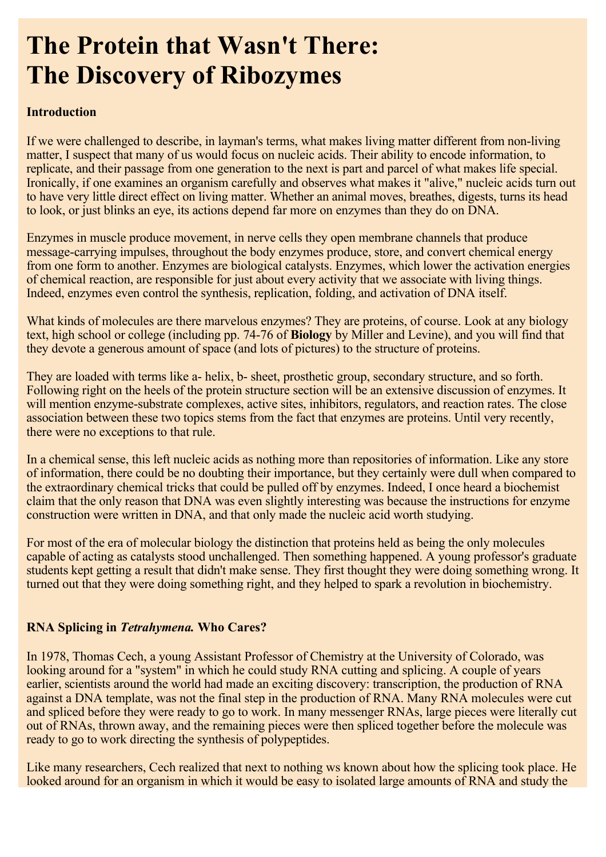# **The Protein that Wasn't There: The Discovery of Ribozymes**

#### **Introduction**

If we were challenged to describe, in layman's terms, what makes living matter different from non-living matter, I suspect that many of us would focus on nucleic acids. Their ability to encode information, to replicate, and their passage from one generation to the next is part and parcel of what makes life special. Ironically, if one examines an organism carefully and observes what makes it "alive," nucleic acids turn out to have very little direct effect on living matter. Whether an animal moves, breathes, digests, turns its head to look, or just blinks an eye, its actions depend far more on enzymes than they do on DNA.

Enzymes in muscle produce movement, in nerve cells they open membrane channels that produce message-carrying impulses, throughout the body enzymes produce, store, and convert chemical energy from one form to another. Enzymes are biological catalysts. Enzymes, which lower the activation energies of chemical reaction, are responsible for just about every activity that we associate with living things. Indeed, enzymes even control the synthesis, replication, folding, and activation of DNA itself.

What kinds of molecules are there marvelous enzymes? They are proteins, of course. Look at any biology text, high school or college (including pp. 74-76 of **Biology** by Miller and Levine), and you will find that they devote a generous amount of space (and lots of pictures) to the structure of proteins.

They are loaded with terms like a- helix, b- sheet, prosthetic group, secondary structure, and so forth. Following right on the heels of the protein structure section will be an extensive discussion of enzymes. It will mention enzyme-substrate complexes, active sites, inhibitors, regulators, and reaction rates. The close association between these two topics stems from the fact that enzymes are proteins. Until very recently, there were no exceptions to that rule.

In a chemical sense, this left nucleic acids as nothing more than repositories of information. Like any store of information, there could be no doubting their importance, but they certainly were dull when compared to the extraordinary chemical tricks that could be pulled off by enzymes. Indeed, I once heard a biochemist claim that the only reason that DNA was even slightly interesting was because the instructions for enzyme construction were written in DNA, and that only made the nucleic acid worth studying.

For most of the era of molecular biology the distinction that proteins held as being the only molecules capable of acting as catalysts stood unchallenged. Then something happened. A young professor's graduate students kept getting a result that didn't make sense. They first thought they were doing something wrong. It turned out that they were doing something right, and they helped to spark a revolution in biochemistry.

### **RNA Splicing in** *Tetrahymena.* **Who Cares?**

In 1978, Thomas Cech, a young Assistant Professor of Chemistry at the University of Colorado, was looking around for a "system" in which he could study RNA cutting and splicing. A couple of years earlier, scientists around the world had made an exciting discovery: transcription, the production of RNA against a DNA template, was not the final step in the production of RNA. Many RNA molecules were cut and spliced before they were ready to go to work. In many messenger RNAs, large pieces were literally cut out of RNAs, thrown away, and the remaining pieces were then spliced together before the molecule was ready to go to work directing the synthesis of polypeptides.

Like many researchers, Cech realized that next to nothing ws known about how the splicing took place. He looked around for an organism in which it would be easy to isolated large amounts of RNA and study the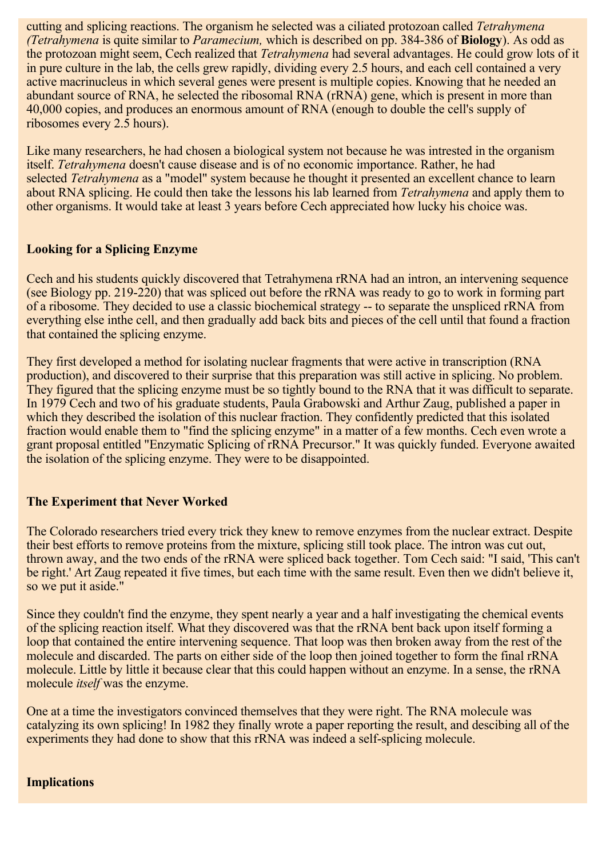cutting and splicing reactions. The organism he selected was a ciliated protozoan called *Tetrahymena (Tetrahymena* is quite similar to *Paramecium*, which is described on pp. 384-386 of **Biology**). As odd as the protozoan might seem, Cech realized that *Tetrahymena* had several advantages. He could grow lots of it in pure culture in the lab, the cells grew rapidly, dividing every 2.5 hours, and each cell contained a very active macrinucleus in which several genes were present is multiple copies. Knowing that he needed an abundant source of RNA, he selected the ribosomal RNA (rRNA) gene, which is present in more than 40,000 copies, and produces an enormous amount of RNA (enough to double the cell's supply of ribosomes every 2.5 hours).

Like many researchers, he had chosen a biological system not because he was intrested in the organism itself. Tetrahymena doesn't cause disease and is of no economic importance. Rather, he had selected Tetrahymena as a "model" system because he thought it presented an excellent chance to learn about RNA splicing. He could then take the lessons his lab learned from *Tetrahymena* and apply them to other organisms. It would take at least 3 years before Cech appreciated how lucky his choice was.

### **Looking for a Splicing Enzyme**

Cech and his students quickly discovered that Tetrahymena rRNA had an intron, an intervening sequence (see Biology pp. 219-220) that was spliced out before the rRNA was ready to go to work in forming part of a ribosome. They decided to use a classic biochemical strategy -- to separate the unspliced rRNA from everything else inthe cell, and then gradually add back bits and pieces of the cell until that found a fraction that contained the splicing enzyme.

They first developed a method for isolating nuclear fragments that were active in transcription (RNA production), and discovered to their surprise that this preparation was still active in splicing. No problem. They figured that the splicing enzyme must be so tightly bound to the RNA that it was difficult to separate. In 1979 Cech and two of his graduate students, Paula Grabowski and Arthur Zaug, published a paper in which they described the isolation of this nuclear fraction. They confidently predicted that this isolated fraction would enable them to "find the splicing enzyme" in a matter of a few months. Cech even wrote a grant proposal entitled "Enzymatic Splicing of rRNA Precursor." It was quickly funded. Everyone awaited the isolation of the splicing enzyme. They were to be disappointed.

### **The Experiment that Never Worked**

The Colorado researchers tried every trick they knew to remove enzymes from the nuclear extract. Despite their best efforts to remove proteins from the mixture, splicing still took place. The intron was cut out, thrown away, and the two ends of the rRNA were spliced back together. Tom Cech said: "I said, 'This can't be right.' Art Zaug repeated it five times, but each time with the same result. Even then we didn't believe it, so we put it aside."

Since they couldn't find the enzyme, they spent nearly a year and a half investigating the chemical events of the splicing reaction itself. What they discovered was that the rRNA bent back upon itself forming a loop that contained the entire intervening sequence. That loop was then broken away from the rest of the molecule and discarded. The parts on either side of the loop then joined together to form the final rRNA molecule. Little by little it because clear that this could happen without an enzyme. In a sense, the rRNA molecule *itself* was the enzyme.

One at a time the investigators convinced themselves that they were right. The RNA molecule was catalyzing its own splicing! In 1982 they finally wrote a paper reporting the result, and descibing all of the experiments they had done to show that this rRNA was indeed a self-splicing molecule.

### **Implications**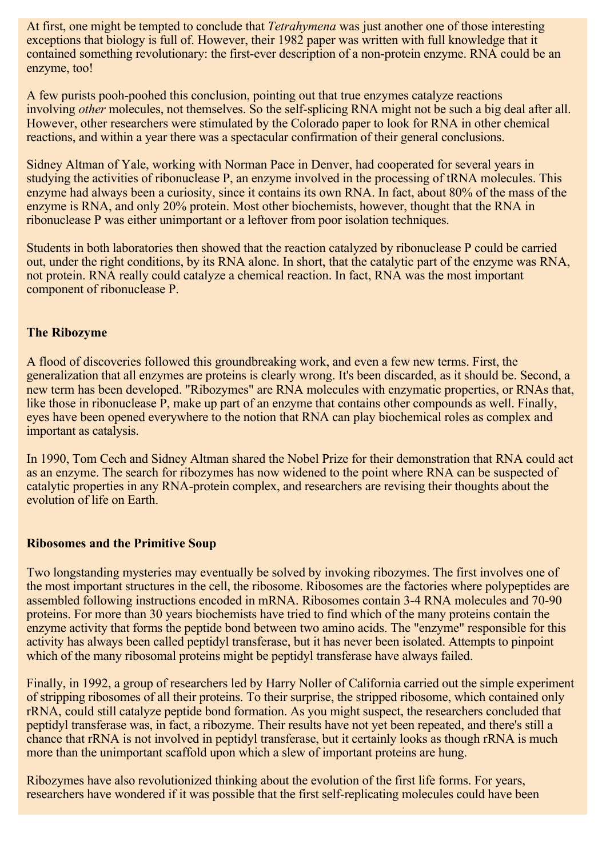At first, one might be tempted to conclude that *Tetrahymena* was just another one of those interesting exceptions that biology is full of. However, their 1982 paper was written with full knowledge that it contained something revolutionary: the first-ever description of a non-protein enzyme. RNA could be an enzyme, too!

A few purists pooh-poohed this conclusion, pointing out that true enzymes catalyze reactions involving *other* molecules, not themselves. So the self-splicing RNA might not be such a big deal after all. However, other researchers were stimulated by the Colorado paper to look for RNA in other chemical reactions, and within a year there was a spectacular confirmation of their general conclusions.

Sidney Altman of Yale, working with Norman Pace in Denver, had cooperated for several years in studying the activities of ribonuclease P, an enzyme involved in the processing of tRNA molecules. This enzyme had always been a curiosity, since it contains its own RNA. In fact, about 80% of the mass of the enzyme is RNA, and only 20% protein. Most other biochemists, however, thought that the RNA in ribonuclease P was either unimportant or a leftover from poor isolation techniques.

Students in both laboratories then showed that the reaction catalyzed by ribonuclease P could be carried out, under the right conditions, by its RNA alone. In short, that the catalytic part of the enzyme was RNA, not protein. RNA really could catalyze a chemical reaction. In fact, RNA was the most important component of ribonuclease P.

### **The Ribozyme**

A flood of discoveries followed this groundbreaking work, and even a few new terms. First, the generalization that all enzymes are proteins is clearly wrong. It's been discarded, as it should be. Second, a new term has been developed. "Ribozymes" are RNA molecules with enzymatic properties, or RNAs that, like those in ribonuclease P, make up part of an enzyme that contains other compounds as well. Finally, eyes have been opened everywhere to the notion that RNA can play biochemical roles as complex and important as catalysis.

In 1990, Tom Cech and Sidney Altman shared the Nobel Prize for their demonstration that RNA could act as an enzyme. The search for ribozymes has now widened to the point where RNA can be suspected of catalytic properties in any RNA-protein complex, and researchers are revising their thoughts about the evolution of life on Earth.

#### **Ribosomes and the Primitive Soup**

Two longstanding mysteries may eventually be solved by invoking ribozymes. The first involves one of the most important structures in the cell, the ribosome. Ribosomes are the factories where polypeptides are assembled following instructions encoded in mRNA. Ribosomes contain 3-4 RNA molecules and 70-90 proteins. For more than 30 years biochemists have tried to find which of the many proteins contain the enzyme activity that forms the peptide bond between two amino acids. The "enzyme" responsible for this activity has always been called peptidyl transferase, but it has never been isolated. Attempts to pinpoint which of the many ribosomal proteins might be peptidyl transferase have always failed.

Finally, in 1992, a group of researchers led by Harry Noller of California carried out the simple experiment of stripping ribosomes of all their proteins. To their surprise, the stripped ribosome, which contained only rRNA, could still catalyze peptide bond formation. As you might suspect, the researchers concluded that peptidyl transferase was, in fact, a ribozyme. Their results have not yet been repeated, and there's still a chance that rRNA is not involved in peptidyl transferase, but it certainly looks as though rRNA is much more than the unimportant scaffold upon which a slew of important proteins are hung.

Ribozymes have also revolutionized thinking about the evolution of the first life forms. For years, researchers have wondered if it was possible that the first self-replicating molecules could have been